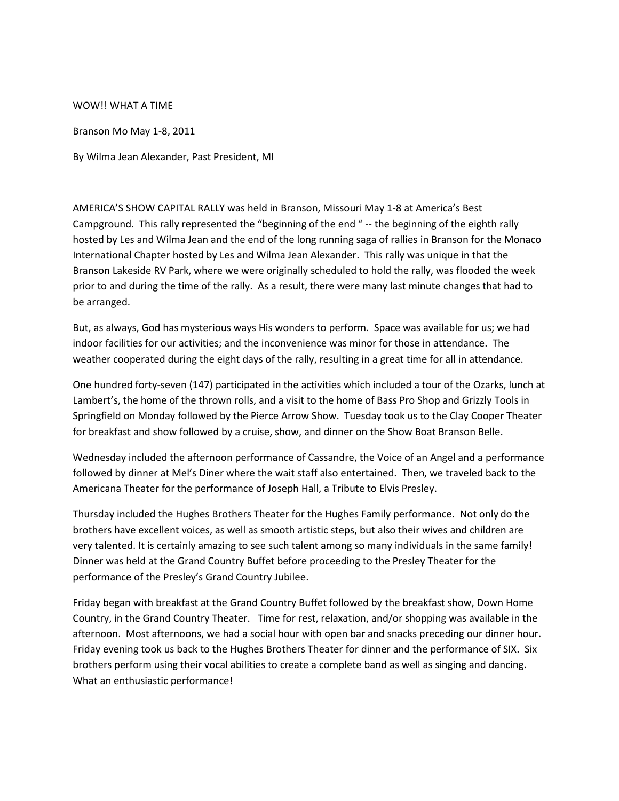## WOW!! WHAT A TIME

Branson Mo May 1-8, 2011

By Wilma Jean Alexander, Past President, MI

AMERICA'S SHOW CAPITAL RALLY was held in Branson, Missouri May 1-8 at America's Best Campground. This rally represented the "beginning of the end " -- the beginning of the eighth rally hosted by Les and Wilma Jean and the end of the long running saga of rallies in Branson for the Monaco International Chapter hosted by Les and Wilma Jean Alexander. This rally was unique in that the Branson Lakeside RV Park, where we were originally scheduled to hold the rally, was flooded the week prior to and during the time of the rally. As a result, there were many last minute changes that had to be arranged.

But, as always, God has mysterious ways His wonders to perform. Space was available for us; we had indoor facilities for our activities; and the inconvenience was minor for those in attendance. The weather cooperated during the eight days of the rally, resulting in a great time for all in attendance.

One hundred forty-seven (147) participated in the activities which included a tour of the Ozarks, lunch at Lambert's, the home of the thrown rolls, and a visit to the home of Bass Pro Shop and Grizzly Tools in Springfield on Monday followed by the Pierce Arrow Show. Tuesday took us to the Clay Cooper Theater for breakfast and show followed by a cruise, show, and dinner on the Show Boat Branson Belle.

Wednesday included the afternoon performance of Cassandre, the Voice of an Angel and a performance followed by dinner at Mel's Diner where the wait staff also entertained. Then, we traveled back to the Americana Theater for the performance of Joseph Hall, a Tribute to Elvis Presley.

Thursday included the Hughes Brothers Theater for the Hughes Family performance. Not only do the brothers have excellent voices, as well as smooth artistic steps, but also their wives and children are very talented. It is certainly amazing to see such talent among so many individuals in the same family! Dinner was held at the Grand Country Buffet before proceeding to the Presley Theater for the performance of the Presley's Grand Country Jubilee.

Friday began with breakfast at the Grand Country Buffet followed by the breakfast show, Down Home Country, in the Grand Country Theater. Time for rest, relaxation, and/or shopping was available in the afternoon. Most afternoons, we had a social hour with open bar and snacks preceding our dinner hour. Friday evening took us back to the Hughes Brothers Theater for dinner and the performance of SIX. Six brothers perform using their vocal abilities to create a complete band as well as singing and dancing. What an enthusiastic performance!